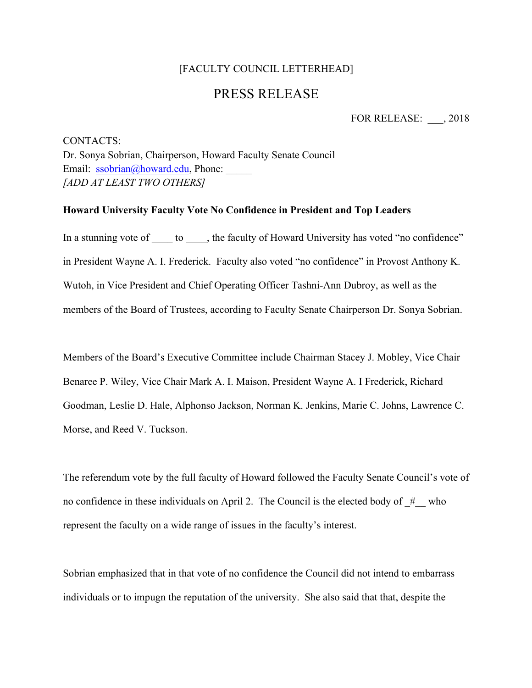## [FACULTY COUNCIL LETTERHEAD]

## PRESS RELEASE

FOR RELEASE: \_\_\_, 2018

CONTACTS: Dr. Sonya Sobrian, Chairperson, Howard Faculty Senate Council Email: ssobrian@howard.edu, Phone: *[ADD AT LEAST TWO OTHERS]*

## **Howard University Faculty Vote No Confidence in President and Top Leaders**

In a stunning vote of \_\_\_\_\_ to \_\_\_\_, the faculty of Howard University has voted "no confidence" in President Wayne A. I. Frederick. Faculty also voted "no confidence" in Provost Anthony K. Wutoh, in Vice President and Chief Operating Officer Tashni-Ann Dubroy, as well as the members of the Board of Trustees, according to Faculty Senate Chairperson Dr. Sonya Sobrian.

Members of the Board's Executive Committee include Chairman Stacey J. Mobley, Vice Chair Benaree P. Wiley, Vice Chair Mark A. I. Maison, President Wayne A. I Frederick, Richard Goodman, Leslie D. Hale, Alphonso Jackson, Norman K. Jenkins, Marie C. Johns, Lawrence C. Morse, and Reed V. Tuckson.

The referendum vote by the full faculty of Howard followed the Faculty Senate Council's vote of no confidence in these individuals on April 2. The Council is the elected body of  $#$  who represent the faculty on a wide range of issues in the faculty's interest.

Sobrian emphasized that in that vote of no confidence the Council did not intend to embarrass individuals or to impugn the reputation of the university. She also said that that, despite the